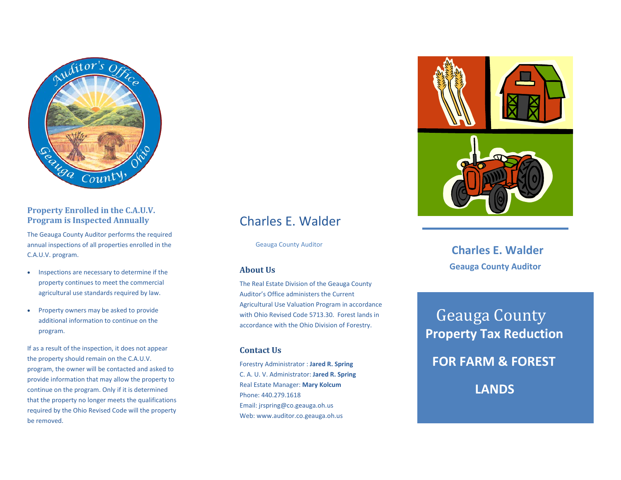

#### **Property Enrolled in the C.A.U.V. Program is Inspected Annually**

The Geauga County Auditor performs the required annual inspections of all properties enrolled in the C.A.U.V. program.

- Inspections are necessary to determine if the property continues to meet the commercial agricultural use standards required by law.
- Property owners may be asked to provide additional information to continue on the program.

If as a result of the inspection, it does not appear the property should remain on the C.A.U.V. program, the owner will be contacted and asked to provide information that may allow the property to continue on the program. Only if it is determined that the property no longer meets the qualifications required by the Ohio Revised Code will the property be removed.

## Charles E. Walder

Geauga County Auditor

#### **About Us**

The Real Estate Division of the Geauga County Auditor's Office administers the Current Agricultural Use Valuation Program in accordance with Ohio Revised Code 5713.30. Forest lands in accordance with the Ohio Division of Forestry.

#### **Contact Us**

Forestry Administrator : **Jared R. Spring**  C. A. U. V. Administrator: **Jared R. Spring** Real Estate Manager: **Mary Kolcum** Phone: 440.279.1618 Email: jrspring@co.geauga.oh.us Web: www.auditor.co.geauga.oh.us



 **Charles E. Walder Geauga County Auditor**

 Geauga County **Property Tax Reduction FOR FARM & FOREST LANDS**